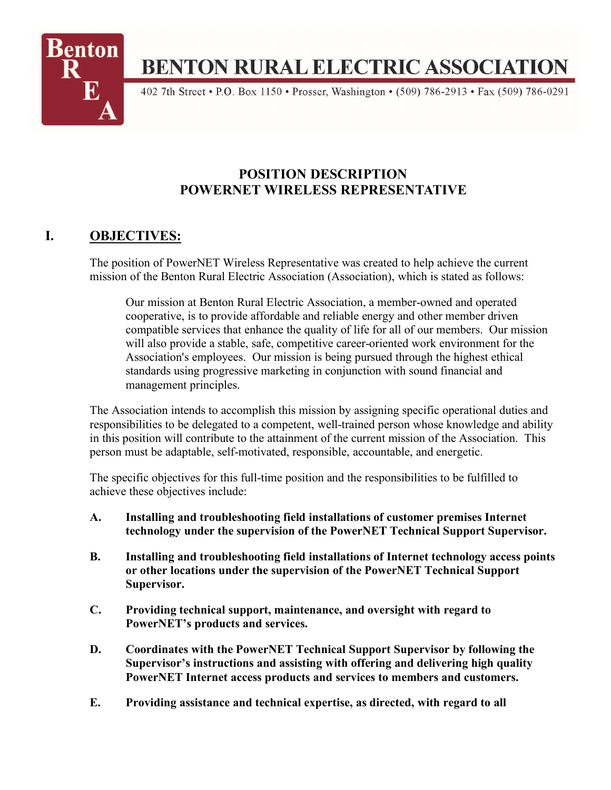

# **BENTON RURAL ELECTRIC ASSOCIATION**

402 7th Street • P.O. Box 1150 • Prosser, Washington • (509) 786-2913 • Fax (509) 786-0291

# **POSITION DESCRIPTION POWERNET WIRELESS REPRESENTATIVE**

# **I. OBJECTIVES:**

The position of PowerNET Wireless Representative was created to help achieve the current mission of the Benton Rural Electric Association (Association), which is stated as follows:

Our mission at Benton Rural Electric Association, a member-owned and operated cooperative, is to provide affordable and reliable energy and other member driven compatible services that enhance the quality of life for all of our members. Our mission will also provide a stable, safe, competitive career-oriented work environment for the Association's employees. Our mission is being pursued through the highest ethical standards using progressive marketing in conjunction with sound financial and management principles.

The Association intends to accomplish this mission by assigning specific operational duties and responsibilities to be delegated to a competent, well-trained person whose knowledge and ability in this position will contribute to the attainment of the current mission of the Association. This person must be adaptable, self-motivated, responsible, accountable, and energetic.

The specific objectives for this full-time position and the responsibilities to be fulfilled to achieve these objectives include:

- **A. Installing and troubleshooting field installations of customer premises Internet technology under the supervision of the PowerNET Technical Support Supervisor.**
- **B. Installing and troubleshooting field installations of Internet technology access points or other locations under the supervision of the PowerNET Technical Support Supervisor.**
- **C. Providing technical support, maintenance, and oversight with regard to PowerNET's products and services.**
- **D. Coordinates with the PowerNET Technical Support Supervisor by following the Supervisor's instructions and assisting with offering and delivering high quality PowerNET Internet access products and services to members and customers.**
- **E. Providing assistance and technical expertise, as directed, with regard to all**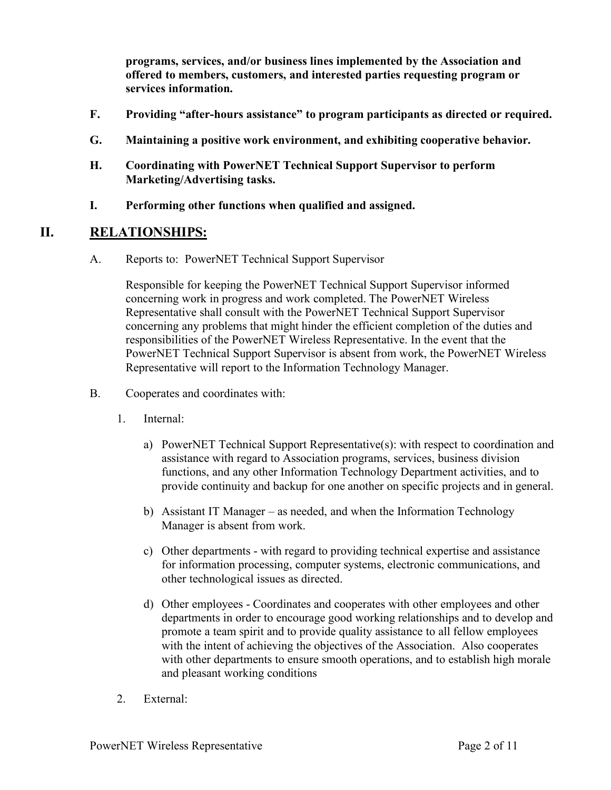**programs, services, and/or business lines implemented by the Association and offered to members, customers, and interested parties requesting program or services information.**

- **F. Providing "after-hours assistance" to program participants as directed or required.**
- **G. Maintaining a positive work environment, and exhibiting cooperative behavior.**
- **H. Coordinating with PowerNET Technical Support Supervisor to perform Marketing/Advertising tasks.**
- **I. Performing other functions when qualified and assigned.**

#### **II. RELATIONSHIPS:**

A. Reports to: PowerNET Technical Support Supervisor

Responsible for keeping the PowerNET Technical Support Supervisor informed concerning work in progress and work completed. The PowerNET Wireless Representative shall consult with the PowerNET Technical Support Supervisor concerning any problems that might hinder the efficient completion of the duties and responsibilities of the PowerNET Wireless Representative. In the event that the PowerNET Technical Support Supervisor is absent from work, the PowerNET Wireless Representative will report to the Information Technology Manager.

- B. Cooperates and coordinates with:
	- 1. Internal:
		- a) PowerNET Technical Support Representative(s): with respect to coordination and assistance with regard to Association programs, services, business division functions, and any other Information Technology Department activities, and to provide continuity and backup for one another on specific projects and in general.
		- b) Assistant IT Manager as needed, and when the Information Technology Manager is absent from work.
		- c) Other departments with regard to providing technical expertise and assistance for information processing, computer systems, electronic communications, and other technological issues as directed.
		- d) Other employees Coordinates and cooperates with other employees and other departments in order to encourage good working relationships and to develop and promote a team spirit and to provide quality assistance to all fellow employees with the intent of achieving the objectives of the Association. Also cooperates with other departments to ensure smooth operations, and to establish high morale and pleasant working conditions
	- 2. External: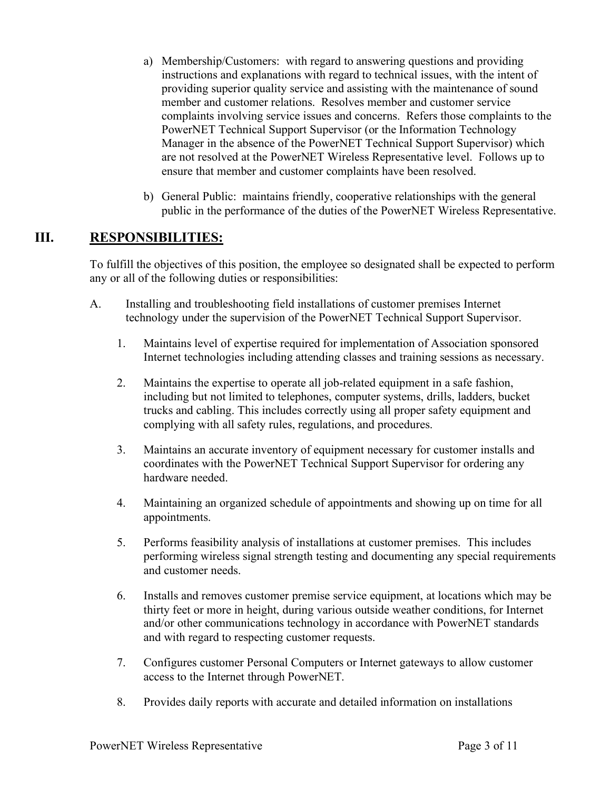- a) Membership/Customers: with regard to answering questions and providing instructions and explanations with regard to technical issues, with the intent of providing superior quality service and assisting with the maintenance of sound member and customer relations. Resolves member and customer service complaints involving service issues and concerns. Refers those complaints to the PowerNET Technical Support Supervisor (or the Information Technology Manager in the absence of the PowerNET Technical Support Supervisor) which are not resolved at the PowerNET Wireless Representative level. Follows up to ensure that member and customer complaints have been resolved.
- b) General Public: maintains friendly, cooperative relationships with the general public in the performance of the duties of the PowerNET Wireless Representative.

# **III. RESPONSIBILITIES:**

To fulfill the objectives of this position, the employee so designated shall be expected to perform any or all of the following duties or responsibilities:

- A. Installing and troubleshooting field installations of customer premises Internet technology under the supervision of the PowerNET Technical Support Supervisor.
	- 1. Maintains level of expertise required for implementation of Association sponsored Internet technologies including attending classes and training sessions as necessary.
	- 2. Maintains the expertise to operate all job-related equipment in a safe fashion, including but not limited to telephones, computer systems, drills, ladders, bucket trucks and cabling. This includes correctly using all proper safety equipment and complying with all safety rules, regulations, and procedures.
	- 3. Maintains an accurate inventory of equipment necessary for customer installs and coordinates with the PowerNET Technical Support Supervisor for ordering any hardware needed.
	- 4. Maintaining an organized schedule of appointments and showing up on time for all appointments.
	- 5. Performs feasibility analysis of installations at customer premises. This includes performing wireless signal strength testing and documenting any special requirements and customer needs.
	- 6. Installs and removes customer premise service equipment, at locations which may be thirty feet or more in height, during various outside weather conditions, for Internet and/or other communications technology in accordance with PowerNET standards and with regard to respecting customer requests.
	- 7. Configures customer Personal Computers or Internet gateways to allow customer access to the Internet through PowerNET.
	- 8. Provides daily reports with accurate and detailed information on installations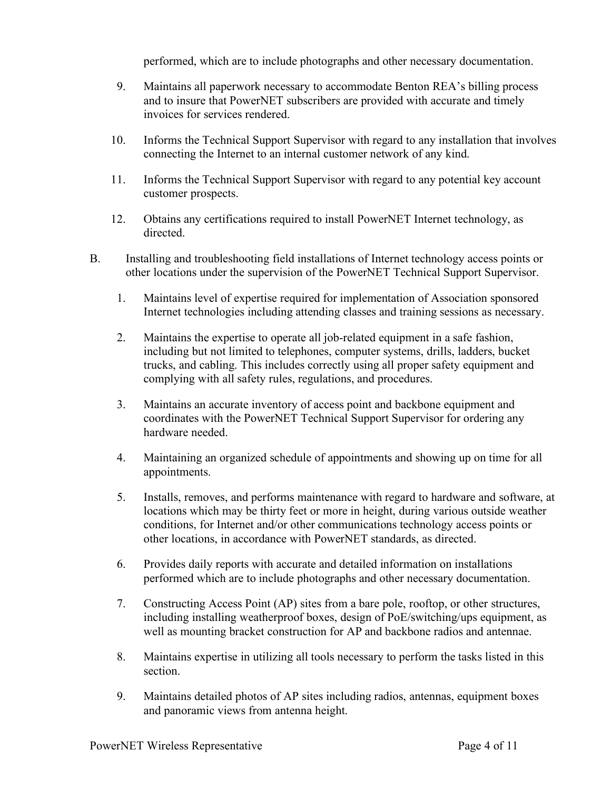performed, which are to include photographs and other necessary documentation.

- 9. Maintains all paperwork necessary to accommodate Benton REA's billing process and to insure that PowerNET subscribers are provided with accurate and timely invoices for services rendered.
- 10. Informs the Technical Support Supervisor with regard to any installation that involves connecting the Internet to an internal customer network of any kind.
- 11. Informs the Technical Support Supervisor with regard to any potential key account customer prospects.
- 12. Obtains any certifications required to install PowerNET Internet technology, as directed.
- B. Installing and troubleshooting field installations of Internet technology access points or other locations under the supervision of the PowerNET Technical Support Supervisor.
	- 1. Maintains level of expertise required for implementation of Association sponsored Internet technologies including attending classes and training sessions as necessary.
	- 2. Maintains the expertise to operate all job-related equipment in a safe fashion, including but not limited to telephones, computer systems, drills, ladders, bucket trucks, and cabling. This includes correctly using all proper safety equipment and complying with all safety rules, regulations, and procedures.
	- 3. Maintains an accurate inventory of access point and backbone equipment and coordinates with the PowerNET Technical Support Supervisor for ordering any hardware needed.
	- 4. Maintaining an organized schedule of appointments and showing up on time for all appointments.
	- 5. Installs, removes, and performs maintenance with regard to hardware and software, at locations which may be thirty feet or more in height, during various outside weather conditions, for Internet and/or other communications technology access points or other locations, in accordance with PowerNET standards, as directed.
	- 6. Provides daily reports with accurate and detailed information on installations performed which are to include photographs and other necessary documentation.
	- 7. Constructing Access Point (AP) sites from a bare pole, rooftop, or other structures, including installing weatherproof boxes, design of PoE/switching/ups equipment, as well as mounting bracket construction for AP and backbone radios and antennae.
	- 8. Maintains expertise in utilizing all tools necessary to perform the tasks listed in this section.
	- 9. Maintains detailed photos of AP sites including radios, antennas, equipment boxes and panoramic views from antenna height.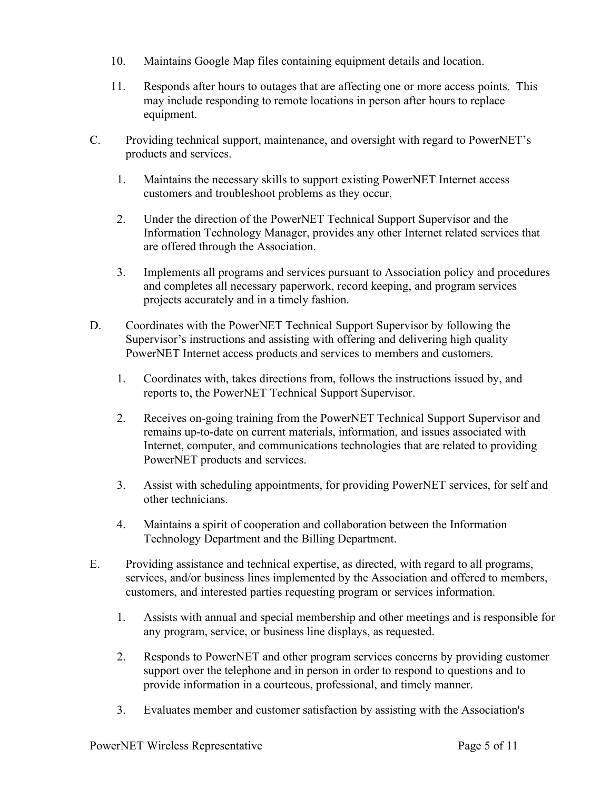- 10. Maintains Google Map files containing equipment details and location.
- 11. Responds after hours to outages that are affecting one or more access points. This may include responding to remote locations in person after hours to replace equipment.
- C. Providing technical support, maintenance, and oversight with regard to PowerNET's products and services.
	- 1. Maintains the necessary skills to support existing PowerNET Internet access customers and troubleshoot problems as they occur.
	- 2. Under the direction of the PowerNET Technical Support Supervisor and the Information Technology Manager, provides any other Internet related services that are offered through the Association.
	- 3. Implements all programs and services pursuant to Association policy and procedures and completes all necessary paperwork, record keeping, and program services projects accurately and in a timely fashion.
- D. Coordinates with the PowerNET Technical Support Supervisor by following the Supervisor's instructions and assisting with offering and delivering high quality PowerNET Internet access products and services to members and customers.
	- 1. Coordinates with, takes directions from, follows the instructions issued by, and reports to, the PowerNET Technical Support Supervisor.
	- 2. Receives on-going training from the PowerNET Technical Support Supervisor and remains up-to-date on current materials, information, and issues associated with Internet, computer, and communications technologies that are related to providing PowerNET products and services.
	- 3. Assist with scheduling appointments, for providing PowerNET services, for self and other technicians.
	- 4. Maintains a spirit of cooperation and collaboration between the Information Technology Department and the Billing Department.
- E. Providing assistance and technical expertise, as directed, with regard to all programs, services, and/or business lines implemented by the Association and offered to members, customers, and interested parties requesting program or services information.
	- 1. Assists with annual and special membership and other meetings and is responsible for any program, service, or business line displays, as requested.
	- 2. Responds to PowerNET and other program services concerns by providing customer support over the telephone and in person in order to respond to questions and to provide information in a courteous, professional, and timely manner.
	- 3. Evaluates member and customer satisfaction by assisting with the Association's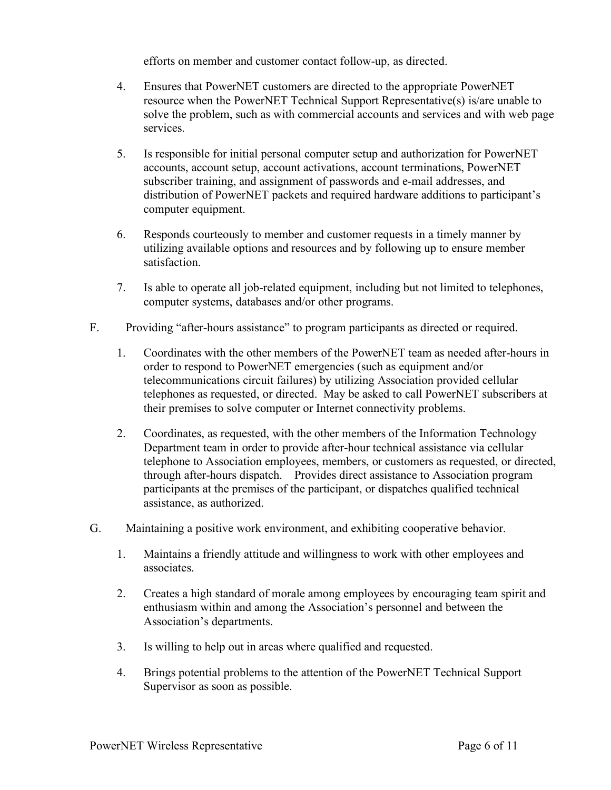efforts on member and customer contact follow-up, as directed.

- 4. Ensures that PowerNET customers are directed to the appropriate PowerNET resource when the PowerNET Technical Support Representative(s) is/are unable to solve the problem, such as with commercial accounts and services and with web page services.
- 5. Is responsible for initial personal computer setup and authorization for PowerNET accounts, account setup, account activations, account terminations, PowerNET subscriber training, and assignment of passwords and e-mail addresses, and distribution of PowerNET packets and required hardware additions to participant's computer equipment.
- 6. Responds courteously to member and customer requests in a timely manner by utilizing available options and resources and by following up to ensure member satisfaction.
- 7. Is able to operate all job-related equipment, including but not limited to telephones, computer systems, databases and/or other programs.
- F. Providing "after-hours assistance" to program participants as directed or required.
	- 1. Coordinates with the other members of the PowerNET team as needed after-hours in order to respond to PowerNET emergencies (such as equipment and/or telecommunications circuit failures) by utilizing Association provided cellular telephones as requested, or directed. May be asked to call PowerNET subscribers at their premises to solve computer or Internet connectivity problems.
	- 2. Coordinates, as requested, with the other members of the Information Technology Department team in order to provide after-hour technical assistance via cellular telephone to Association employees, members, or customers as requested, or directed, through after-hours dispatch. Provides direct assistance to Association program participants at the premises of the participant, or dispatches qualified technical assistance, as authorized.
- G. Maintaining a positive work environment, and exhibiting cooperative behavior.
	- 1. Maintains a friendly attitude and willingness to work with other employees and associates.
	- 2. Creates a high standard of morale among employees by encouraging team spirit and enthusiasm within and among the Association's personnel and between the Association's departments.
	- 3. Is willing to help out in areas where qualified and requested.
	- 4. Brings potential problems to the attention of the PowerNET Technical Support Supervisor as soon as possible.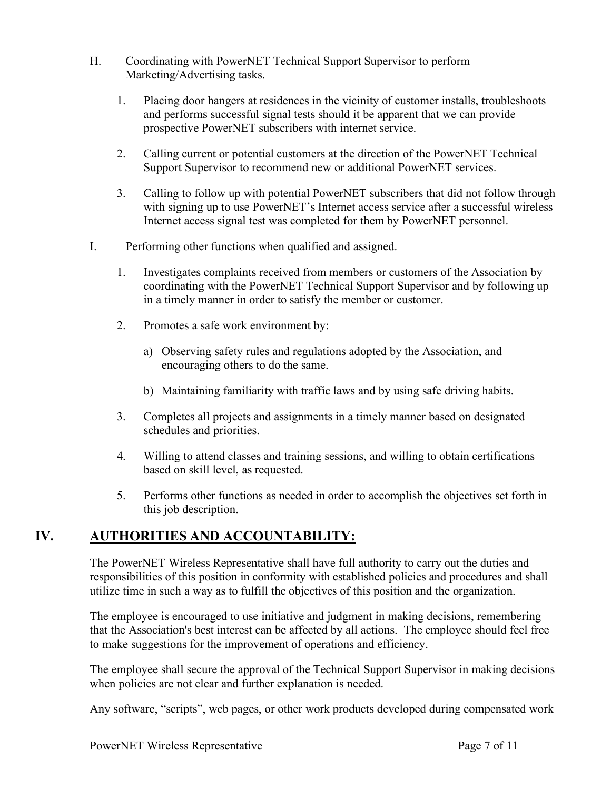- H. Coordinating with PowerNET Technical Support Supervisor to perform Marketing/Advertising tasks.
	- 1. Placing door hangers at residences in the vicinity of customer installs, troubleshoots and performs successful signal tests should it be apparent that we can provide prospective PowerNET subscribers with internet service.
	- 2. Calling current or potential customers at the direction of the PowerNET Technical Support Supervisor to recommend new or additional PowerNET services.
	- 3. Calling to follow up with potential PowerNET subscribers that did not follow through with signing up to use PowerNET's Internet access service after a successful wireless Internet access signal test was completed for them by PowerNET personnel.
- I. Performing other functions when qualified and assigned.
	- 1. Investigates complaints received from members or customers of the Association by coordinating with the PowerNET Technical Support Supervisor and by following up in a timely manner in order to satisfy the member or customer.
	- 2. Promotes a safe work environment by:
		- a) Observing safety rules and regulations adopted by the Association, and encouraging others to do the same.
		- b) Maintaining familiarity with traffic laws and by using safe driving habits.
	- 3. Completes all projects and assignments in a timely manner based on designated schedules and priorities.
	- 4. Willing to attend classes and training sessions, and willing to obtain certifications based on skill level, as requested.
	- 5. Performs other functions as needed in order to accomplish the objectives set forth in this job description.

## **IV. AUTHORITIES AND ACCOUNTABILITY:**

The PowerNET Wireless Representative shall have full authority to carry out the duties and responsibilities of this position in conformity with established policies and procedures and shall utilize time in such a way as to fulfill the objectives of this position and the organization.

The employee is encouraged to use initiative and judgment in making decisions, remembering that the Association's best interest can be affected by all actions. The employee should feel free to make suggestions for the improvement of operations and efficiency.

The employee shall secure the approval of the Technical Support Supervisor in making decisions when policies are not clear and further explanation is needed.

Any software, "scripts", web pages, or other work products developed during compensated work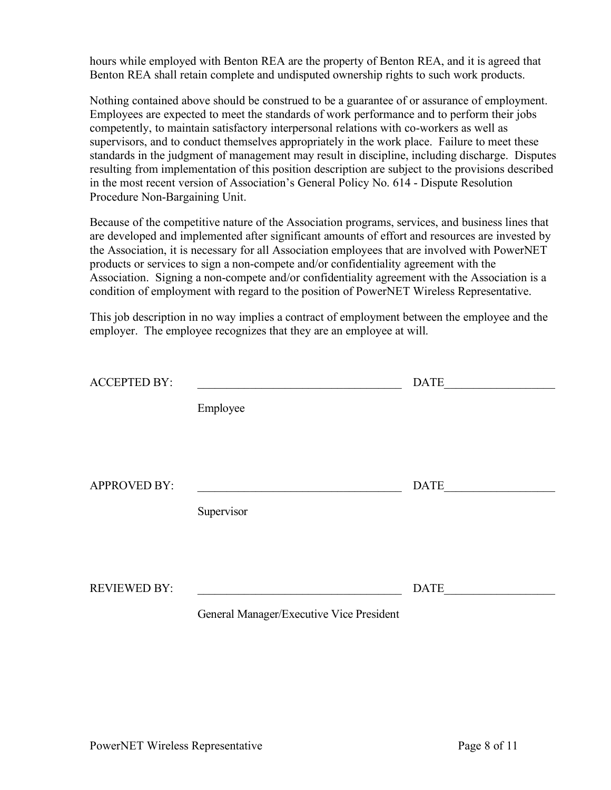hours while employed with Benton REA are the property of Benton REA, and it is agreed that Benton REA shall retain complete and undisputed ownership rights to such work products.

Nothing contained above should be construed to be a guarantee of or assurance of employment. Employees are expected to meet the standards of work performance and to perform their jobs competently, to maintain satisfactory interpersonal relations with co-workers as well as supervisors, and to conduct themselves appropriately in the work place. Failure to meet these standards in the judgment of management may result in discipline, including discharge. Disputes resulting from implementation of this position description are subject to the provisions described in the most recent version of Association's General Policy No. 614 - Dispute Resolution Procedure Non-Bargaining Unit.

Because of the competitive nature of the Association programs, services, and business lines that are developed and implemented after significant amounts of effort and resources are invested by the Association, it is necessary for all Association employees that are involved with PowerNET products or services to sign a non-compete and/or confidentiality agreement with the Association. Signing a non-compete and/or confidentiality agreement with the Association is a condition of employment with regard to the position of PowerNET Wireless Representative.

This job description in no way implies a contract of employment between the employee and the employer. The employee recognizes that they are an employee at will.

| <b>ACCEPTED BY:</b> |                                          | <b>DATE</b> |
|---------------------|------------------------------------------|-------------|
|                     | Employee                                 |             |
| <b>APPROVED BY:</b> |                                          | <b>DATE</b> |
|                     | Supervisor                               |             |
| <b>REVIEWED BY:</b> |                                          | <b>DATE</b> |
|                     | General Manager/Executive Vice President |             |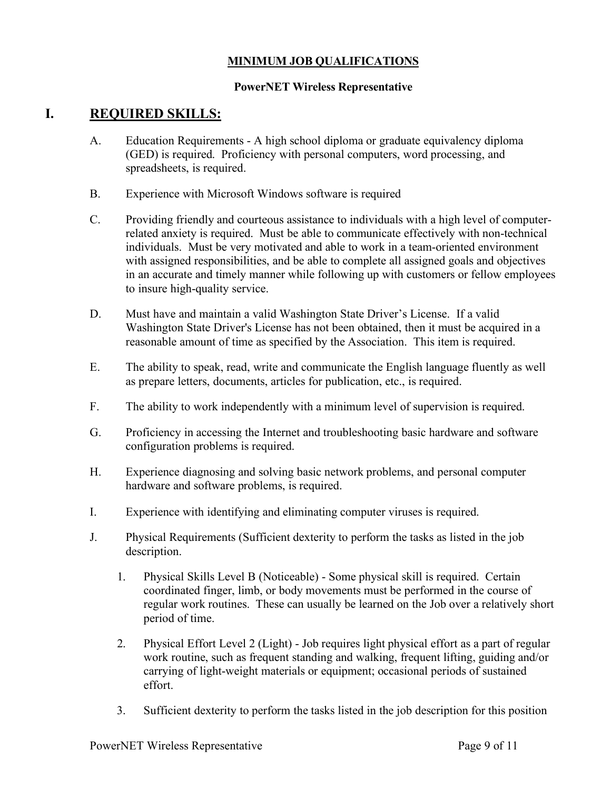#### **MINIMUM JOB QUALIFICATIONS**

#### **PowerNET Wireless Representative**

## **I. REQUIRED SKILLS:**

- A. Education Requirements A high school diploma or graduate equivalency diploma (GED) is required. Proficiency with personal computers, word processing, and spreadsheets, is required.
- B. Experience with Microsoft Windows software is required
- C. Providing friendly and courteous assistance to individuals with a high level of computerrelated anxiety is required. Must be able to communicate effectively with non-technical individuals. Must be very motivated and able to work in a team-oriented environment with assigned responsibilities, and be able to complete all assigned goals and objectives in an accurate and timely manner while following up with customers or fellow employees to insure high-quality service.
- D. Must have and maintain a valid Washington State Driver's License. If a valid Washington State Driver's License has not been obtained, then it must be acquired in a reasonable amount of time as specified by the Association. This item is required.
- E. The ability to speak, read, write and communicate the English language fluently as well as prepare letters, documents, articles for publication, etc., is required.
- F. The ability to work independently with a minimum level of supervision is required.
- G. Proficiency in accessing the Internet and troubleshooting basic hardware and software configuration problems is required.
- H. Experience diagnosing and solving basic network problems, and personal computer hardware and software problems, is required.
- I. Experience with identifying and eliminating computer viruses is required.
- J. Physical Requirements (Sufficient dexterity to perform the tasks as listed in the job description.
	- 1. Physical Skills Level B (Noticeable) Some physical skill is required. Certain coordinated finger, limb, or body movements must be performed in the course of regular work routines. These can usually be learned on the Job over a relatively short period of time.
	- 2. Physical Effort Level 2 (Light) Job requires light physical effort as a part of regular work routine, such as frequent standing and walking, frequent lifting, guiding and/or carrying of light-weight materials or equipment; occasional periods of sustained effort.
	- 3. Sufficient dexterity to perform the tasks listed in the job description for this position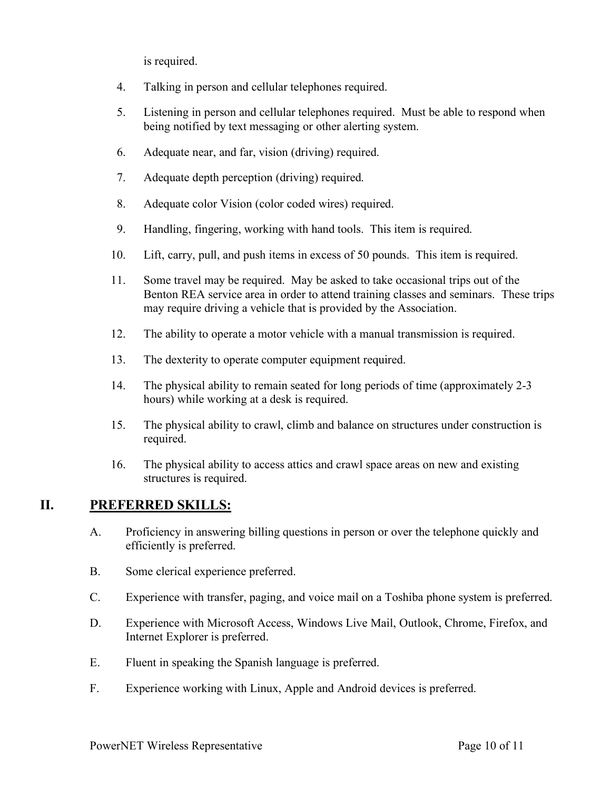is required.

- 4. Talking in person and cellular telephones required.
- 5. Listening in person and cellular telephones required. Must be able to respond when being notified by text messaging or other alerting system.
- 6. Adequate near, and far, vision (driving) required.
- 7. Adequate depth perception (driving) required.
- 8. Adequate color Vision (color coded wires) required.
- 9. Handling, fingering, working with hand tools. This item is required.
- 10. Lift, carry, pull, and push items in excess of 50 pounds. This item is required.
- 11. Some travel may be required. May be asked to take occasional trips out of the Benton REA service area in order to attend training classes and seminars. These trips may require driving a vehicle that is provided by the Association.
- 12. The ability to operate a motor vehicle with a manual transmission is required.
- 13. The dexterity to operate computer equipment required.
- 14. The physical ability to remain seated for long periods of time (approximately 2-3 hours) while working at a desk is required.
- 15. The physical ability to crawl, climb and balance on structures under construction is required.
- 16. The physical ability to access attics and crawl space areas on new and existing structures is required.

## **II. PREFERRED SKILLS:**

- A. Proficiency in answering billing questions in person or over the telephone quickly and efficiently is preferred.
- B. Some clerical experience preferred.
- C. Experience with transfer, paging, and voice mail on a Toshiba phone system is preferred.
- D. Experience with Microsoft Access, Windows Live Mail, Outlook, Chrome, Firefox, and Internet Explorer is preferred.
- E. Fluent in speaking the Spanish language is preferred.
- F. Experience working with Linux, Apple and Android devices is preferred.